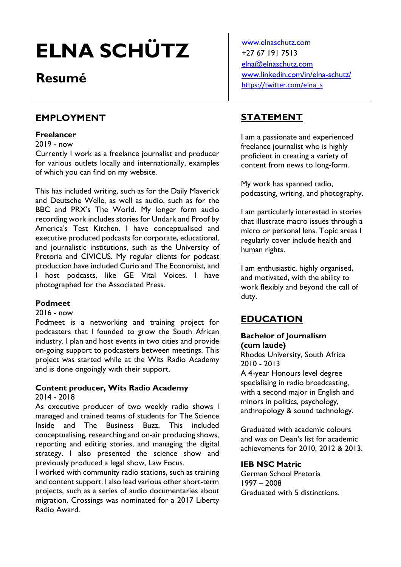# ELNA SCHÜTZ

## Resumé

### EMPLOYMENT

#### Freelancer

2019 - now

Currently I work as a freelance journalist and producer for various outlets locally and internationally, examples of which you can find on my website.

This has included writing, such as for the Daily Maverick and Deutsche Welle, as well as audio, such as for the BBC and PRX's The World. My longer form audio recording work includes stories for Undark and Proof by America's Test Kitchen. I have conceptualised and executive produced podcasts for corporate, educational, and journalistic institutions, such as the University of Pretoria and CIVICUS. My regular clients for podcast production have included Curio and The Economist, and I host podcasts, like GE Vital Voices. I have photographed for the Associated Press.

#### Podmeet

#### 2016 - now

Podmeet is a networking and training project for podcasters that I founded to grow the South African industry. I plan and host events in two cities and provide on-going support to podcasters between meetings. This project was started while at the Wits Radio Academy and is done ongoingly with their support.

## Content producer, Wits Radio Academy

2014 - 2018

As executive producer of two weekly radio shows I managed and trained teams of students for The Science Inside and The Business Buzz. This included conceptualising, researching and on-air producing shows, reporting and editing stories, and managing the digital strategy. I also presented the science show and previously produced a legal show, Law Focus.

I worked with community radio stations, such as training and content support. I also lead various other short-term projects, such as a series of audio documentaries about migration. Crossings was nominated for a 2017 Liberty Radio Award.

www.elnaschutz.com +27 67 191 7513 elna@elnaschutz.com www.linkedin.com/in/elna-schutz/ https://twitter.com/elna\_s

## STATEMENT

I am a passionate and experienced freelance journalist who is highly proficient in creating a variety of content from news to long-form.

My work has spanned radio, podcasting, writing, and photography.

I am particularly interested in stories that illustrate macro issues through a micro or personal lens. Topic areas I regularly cover include health and human rights.

I am enthusiastic, highly organised, and motivated, with the ability to work flexibly and beyond the call of duty.

## EDUCATION

#### Bachelor of Journalism (cum laude)

Rhodes University, South Africa 2010 - 2013 A 4-year Honours level degree specialising in radio broadcasting,

with a second major in English and minors in politics, psychology, anthropology & sound technology.

Graduated with academic colours and was on Dean's list for academic achievements for 2010, 2012 & 2013.

#### IEB NSC Matric

German School Pretoria 1997 – 2008 Graduated with 5 distinctions.